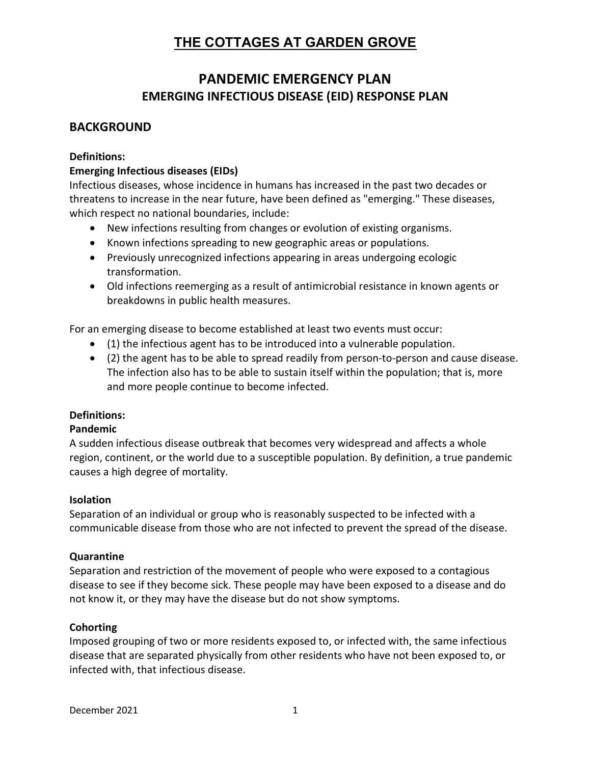# PANDEMIC EMERGENCY PLAN EMERGING INFECTIOUS DISEASE (EID) RESPONSE PLAN

## **BACKGROUND**

#### Definitions:

#### Emerging Infectious diseases (EIDs)

Infectious diseases, whose incidence in humans has increased in the past two decades or threatens to increase in the near future, have been defined as "emerging." These diseases, which respect no national boundaries, include:

- New infections resulting from changes or evolution of existing organisms.
- Known infections spreading to new geographic areas or populations.
- Previously unrecognized infections appearing in areas undergoing ecologic transformation.
- Old infections reemerging as a result of antimicrobial resistance in known agents or breakdowns in public health measures.

For an emerging disease to become established at least two events must occur:

- (1) the infectious agent has to be introduced into a vulnerable population.
- (2) the agent has to be able to spread readily from person-to-person and cause disease. The infection also has to be able to sustain itself within the population; that is, more and more people continue to become infected.

#### Definitions:

#### Pandemic

A sudden infectious disease outbreak that becomes very widespread and affects a whole region, continent, or the world due to a susceptible population. By definition, a true pandemic causes a high degree of mortality.

#### Isolation

Separation of an individual or group who is reasonably suspected to be infected with a communicable disease from those who are not infected to prevent the spread of the disease.

#### Quarantine

Separation and restriction of the movement of people who were exposed to a contagious disease to see if they become sick. These people may have been exposed to a disease and do not know it, or they may have the disease but do not show symptoms.

#### **Cohorting**

Imposed grouping of two or more residents exposed to, or infected with, the same infectious disease that are separated physically from other residents who have not been exposed to, or infected with, that infectious disease.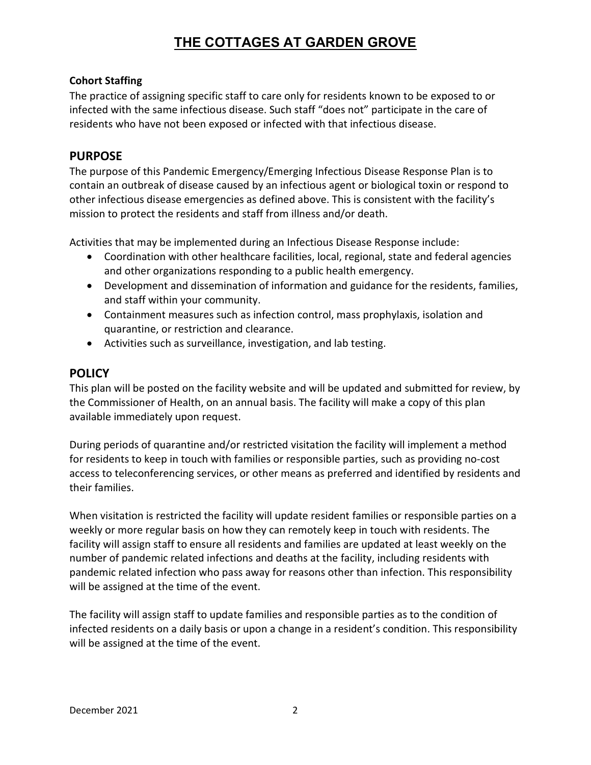### Cohort Staffing

The practice of assigning specific staff to care only for residents known to be exposed to or infected with the same infectious disease. Such staff "does not" participate in the care of residents who have not been exposed or infected with that infectious disease.

## PURPOSE

The purpose of this Pandemic Emergency/Emerging Infectious Disease Response Plan is to contain an outbreak of disease caused by an infectious agent or biological toxin or respond to other infectious disease emergencies as defined above. This is consistent with the facility's mission to protect the residents and staff from illness and/or death.

Activities that may be implemented during an Infectious Disease Response include:

- Coordination with other healthcare facilities, local, regional, state and federal agencies and other organizations responding to a public health emergency.
- Development and dissemination of information and guidance for the residents, families, and staff within your community.
- Containment measures such as infection control, mass prophylaxis, isolation and quarantine, or restriction and clearance.
- Activities such as surveillance, investigation, and lab testing.

## **POLICY**

This plan will be posted on the facility website and will be updated and submitted for review, by the Commissioner of Health, on an annual basis. The facility will make a copy of this plan available immediately upon request.

During periods of quarantine and/or restricted visitation the facility will implement a method for residents to keep in touch with families or responsible parties, such as providing no-cost access to teleconferencing services, or other means as preferred and identified by residents and their families.

When visitation is restricted the facility will update resident families or responsible parties on a weekly or more regular basis on how they can remotely keep in touch with residents. The facility will assign staff to ensure all residents and families are updated at least weekly on the number of pandemic related infections and deaths at the facility, including residents with pandemic related infection who pass away for reasons other than infection. This responsibility will be assigned at the time of the event.

The facility will assign staff to update families and responsible parties as to the condition of infected residents on a daily basis or upon a change in a resident's condition. This responsibility will be assigned at the time of the event.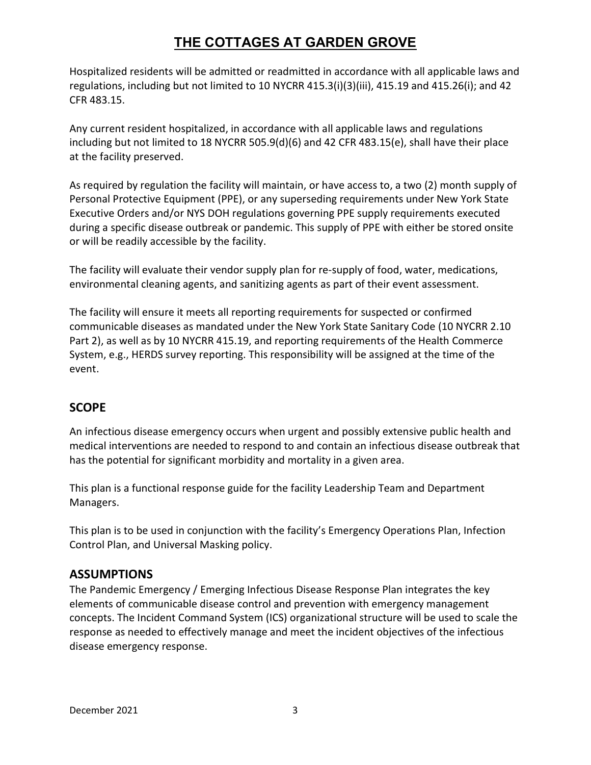Hospitalized residents will be admitted or readmitted in accordance with all applicable laws and regulations, including but not limited to 10 NYCRR 415.3(i)(3)(iii), 415.19 and 415.26(i); and 42 CFR 483.15.

Any current resident hospitalized, in accordance with all applicable laws and regulations including but not limited to 18 NYCRR 505.9(d)(6) and 42 CFR 483.15(e), shall have their place at the facility preserved.

As required by regulation the facility will maintain, or have access to, a two (2) month supply of Personal Protective Equipment (PPE), or any superseding requirements under New York State Executive Orders and/or NYS DOH regulations governing PPE supply requirements executed during a specific disease outbreak or pandemic. This supply of PPE with either be stored onsite or will be readily accessible by the facility.

The facility will evaluate their vendor supply plan for re-supply of food, water, medications, environmental cleaning agents, and sanitizing agents as part of their event assessment.

The facility will ensure it meets all reporting requirements for suspected or confirmed communicable diseases as mandated under the New York State Sanitary Code (10 NYCRR 2.10 Part 2), as well as by 10 NYCRR 415.19, and reporting requirements of the Health Commerce System, e.g., HERDS survey reporting. This responsibility will be assigned at the time of the event.

## **SCOPE**

An infectious disease emergency occurs when urgent and possibly extensive public health and medical interventions are needed to respond to and contain an infectious disease outbreak that has the potential for significant morbidity and mortality in a given area.

This plan is a functional response guide for the facility Leadership Team and Department Managers.

This plan is to be used in conjunction with the facility's Emergency Operations Plan, Infection Control Plan, and Universal Masking policy.

## **ASSUMPTIONS**

The Pandemic Emergency / Emerging Infectious Disease Response Plan integrates the key elements of communicable disease control and prevention with emergency management concepts. The Incident Command System (ICS) organizational structure will be used to scale the response as needed to effectively manage and meet the incident objectives of the infectious disease emergency response.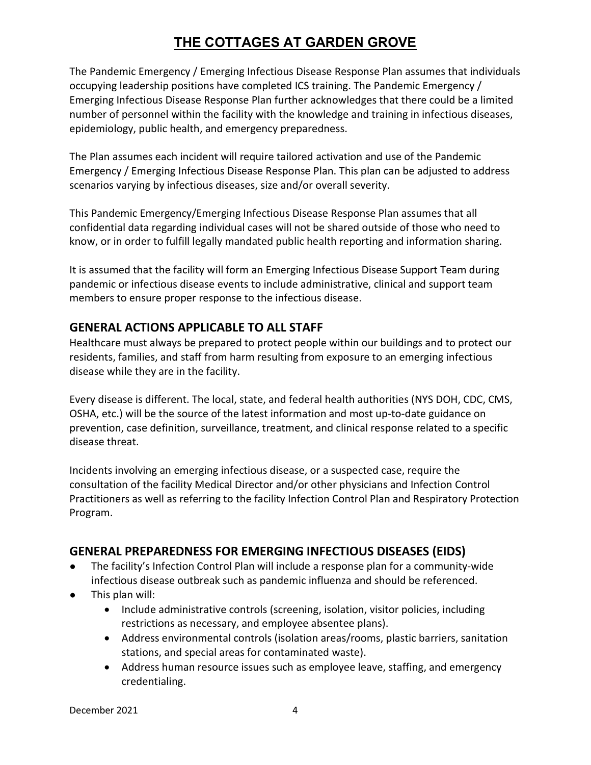The Pandemic Emergency / Emerging Infectious Disease Response Plan assumes that individuals occupying leadership positions have completed ICS training. The Pandemic Emergency / Emerging Infectious Disease Response Plan further acknowledges that there could be a limited number of personnel within the facility with the knowledge and training in infectious diseases, epidemiology, public health, and emergency preparedness.

The Plan assumes each incident will require tailored activation and use of the Pandemic Emergency / Emerging Infectious Disease Response Plan. This plan can be adjusted to address scenarios varying by infectious diseases, size and/or overall severity.

This Pandemic Emergency/Emerging Infectious Disease Response Plan assumes that all confidential data regarding individual cases will not be shared outside of those who need to know, or in order to fulfill legally mandated public health reporting and information sharing.

It is assumed that the facility will form an Emerging Infectious Disease Support Team during pandemic or infectious disease events to include administrative, clinical and support team members to ensure proper response to the infectious disease.

## GENERAL ACTIONS APPLICABLE TO ALL STAFF

Healthcare must always be prepared to protect people within our buildings and to protect our residents, families, and staff from harm resulting from exposure to an emerging infectious disease while they are in the facility.

Every disease is different. The local, state, and federal health authorities (NYS DOH, CDC, CMS, OSHA, etc.) will be the source of the latest information and most up-to-date guidance on prevention, case definition, surveillance, treatment, and clinical response related to a specific disease threat.

Incidents involving an emerging infectious disease, or a suspected case, require the consultation of the facility Medical Director and/or other physicians and Infection Control Practitioners as well as referring to the facility Infection Control Plan and Respiratory Protection Program.

## GENERAL PREPAREDNESS FOR EMERGING INFECTIOUS DISEASES (EIDS)

- The facility's Infection Control Plan will include a response plan for a community-wide infectious disease outbreak such as pandemic influenza and should be referenced.
- This plan will:
	- Include administrative controls (screening, isolation, visitor policies, including restrictions as necessary, and employee absentee plans).
	- Address environmental controls (isolation areas/rooms, plastic barriers, sanitation stations, and special areas for contaminated waste).
	- Address human resource issues such as employee leave, staffing, and emergency credentialing.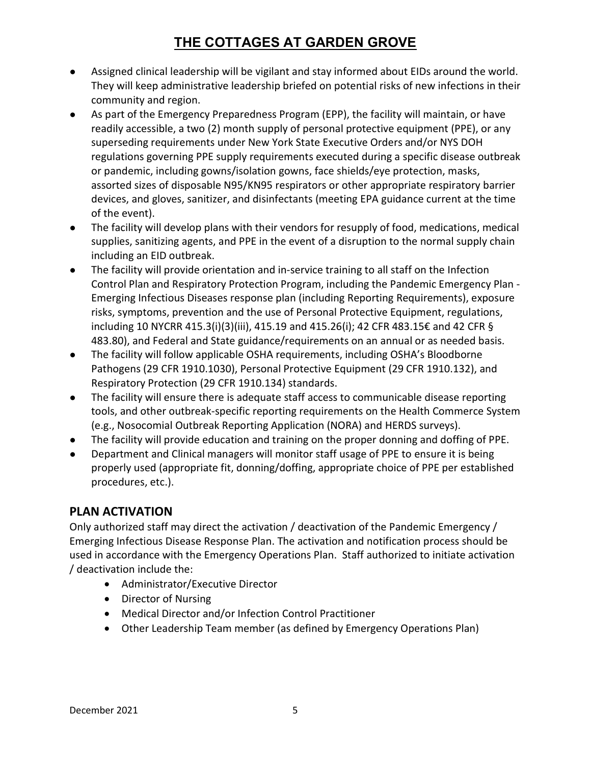- Assigned clinical leadership will be vigilant and stay informed about EIDs around the world. They will keep administrative leadership briefed on potential risks of new infections in their community and region.
- As part of the Emergency Preparedness Program (EPP), the facility will maintain, or have readily accessible, a two (2) month supply of personal protective equipment (PPE), or any superseding requirements under New York State Executive Orders and/or NYS DOH regulations governing PPE supply requirements executed during a specific disease outbreak or pandemic, including gowns/isolation gowns, face shields/eye protection, masks, assorted sizes of disposable N95/KN95 respirators or other appropriate respiratory barrier devices, and gloves, sanitizer, and disinfectants (meeting EPA guidance current at the time of the event).
- The facility will develop plans with their vendors for resupply of food, medications, medical supplies, sanitizing agents, and PPE in the event of a disruption to the normal supply chain including an EID outbreak.
- The facility will provide orientation and in-service training to all staff on the Infection Control Plan and Respiratory Protection Program, including the Pandemic Emergency Plan - Emerging Infectious Diseases response plan (including Reporting Requirements), exposure risks, symptoms, prevention and the use of Personal Protective Equipment, regulations, including 10 NYCRR 415.3(i)(3)(iii), 415.19 and 415.26(i); 42 CFR 483.15€ and 42 CFR § 483.80), and Federal and State guidance/requirements on an annual or as needed basis.
- The facility will follow applicable OSHA requirements, including OSHA's Bloodborne Pathogens (29 CFR 1910.1030), Personal Protective Equipment (29 CFR 1910.132), and Respiratory Protection (29 CFR 1910.134) standards.
- The facility will ensure there is adequate staff access to communicable disease reporting tools, and other outbreak-specific reporting requirements on the Health Commerce System (e.g., Nosocomial Outbreak Reporting Application (NORA) and HERDS surveys).
- The facility will provide education and training on the proper donning and doffing of PPE.
- Department and Clinical managers will monitor staff usage of PPE to ensure it is being properly used (appropriate fit, donning/doffing, appropriate choice of PPE per established procedures, etc.).

## PLAN ACTIVATION

Only authorized staff may direct the activation / deactivation of the Pandemic Emergency / Emerging Infectious Disease Response Plan. The activation and notification process should be used in accordance with the Emergency Operations Plan. Staff authorized to initiate activation / deactivation include the:

- Administrator/Executive Director
- Director of Nursing
- Medical Director and/or Infection Control Practitioner
- Other Leadership Team member (as defined by Emergency Operations Plan)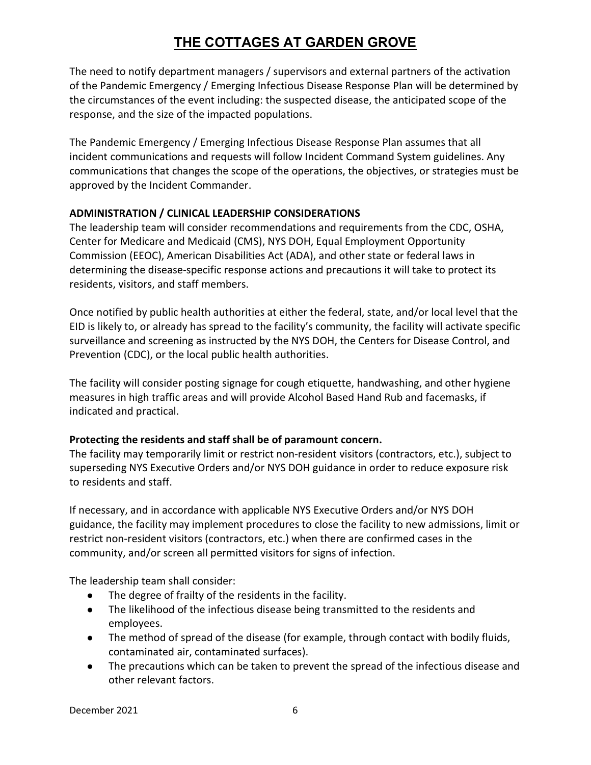The need to notify department managers / supervisors and external partners of the activation of the Pandemic Emergency / Emerging Infectious Disease Response Plan will be determined by the circumstances of the event including: the suspected disease, the anticipated scope of the response, and the size of the impacted populations.

The Pandemic Emergency / Emerging Infectious Disease Response Plan assumes that all incident communications and requests will follow Incident Command System guidelines. Any communications that changes the scope of the operations, the objectives, or strategies must be approved by the Incident Commander.

### ADMINISTRATION / CLINICAL LEADERSHIP CONSIDERATIONS

The leadership team will consider recommendations and requirements from the CDC, OSHA, Center for Medicare and Medicaid (CMS), NYS DOH, Equal Employment Opportunity Commission (EEOC), American Disabilities Act (ADA), and other state or federal laws in determining the disease-specific response actions and precautions it will take to protect its residents, visitors, and staff members.

Once notified by public health authorities at either the federal, state, and/or local level that the EID is likely to, or already has spread to the facility's community, the facility will activate specific surveillance and screening as instructed by the NYS DOH, the Centers for Disease Control, and Prevention (CDC), or the local public health authorities.

The facility will consider posting signage for cough etiquette, handwashing, and other hygiene measures in high traffic areas and will provide Alcohol Based Hand Rub and facemasks, if indicated and practical.

### Protecting the residents and staff shall be of paramount concern.

The facility may temporarily limit or restrict non-resident visitors (contractors, etc.), subject to superseding NYS Executive Orders and/or NYS DOH guidance in order to reduce exposure risk to residents and staff.

If necessary, and in accordance with applicable NYS Executive Orders and/or NYS DOH guidance, the facility may implement procedures to close the facility to new admissions, limit or restrict non-resident visitors (contractors, etc.) when there are confirmed cases in the community, and/or screen all permitted visitors for signs of infection.

The leadership team shall consider:

- The degree of frailty of the residents in the facility.
- The likelihood of the infectious disease being transmitted to the residents and employees.
- The method of spread of the disease (for example, through contact with bodily fluids, contaminated air, contaminated surfaces).
- The precautions which can be taken to prevent the spread of the infectious disease and other relevant factors.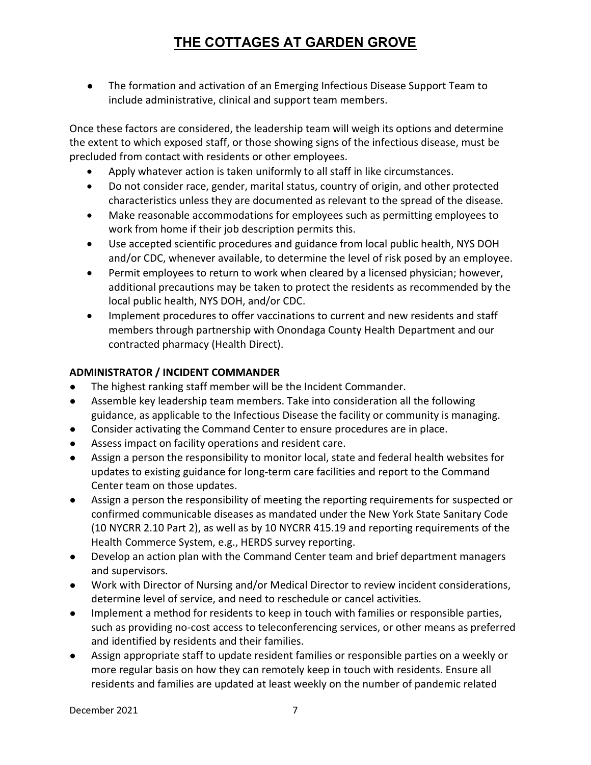● The formation and activation of an Emerging Infectious Disease Support Team to include administrative, clinical and support team members.

Once these factors are considered, the leadership team will weigh its options and determine the extent to which exposed staff, or those showing signs of the infectious disease, must be precluded from contact with residents or other employees.

- Apply whatever action is taken uniformly to all staff in like circumstances.
- Do not consider race, gender, marital status, country of origin, and other protected characteristics unless they are documented as relevant to the spread of the disease.
- Make reasonable accommodations for employees such as permitting employees to work from home if their job description permits this.
- Use accepted scientific procedures and guidance from local public health, NYS DOH and/or CDC, whenever available, to determine the level of risk posed by an employee.
- Permit employees to return to work when cleared by a licensed physician; however, additional precautions may be taken to protect the residents as recommended by the local public health, NYS DOH, and/or CDC.
- Implement procedures to offer vaccinations to current and new residents and staff members through partnership with Onondaga County Health Department and our contracted pharmacy (Health Direct).

### ADMINISTRATOR / INCIDENT COMMANDER

- The highest ranking staff member will be the Incident Commander.
- Assemble key leadership team members. Take into consideration all the following guidance, as applicable to the Infectious Disease the facility or community is managing.
- Consider activating the Command Center to ensure procedures are in place.
- Assess impact on facility operations and resident care.
- Assign a person the responsibility to monitor local, state and federal health websites for updates to existing guidance for long-term care facilities and report to the Command Center team on those updates.
- Assign a person the responsibility of meeting the reporting requirements for suspected or confirmed communicable diseases as mandated under the New York State Sanitary Code (10 NYCRR 2.10 Part 2), as well as by 10 NYCRR 415.19 and reporting requirements of the Health Commerce System, e.g., HERDS survey reporting.
- Develop an action plan with the Command Center team and brief department managers and supervisors.
- Work with Director of Nursing and/or Medical Director to review incident considerations, determine level of service, and need to reschedule or cancel activities.
- Implement a method for residents to keep in touch with families or responsible parties, such as providing no-cost access to teleconferencing services, or other means as preferred and identified by residents and their families.
- Assign appropriate staff to update resident families or responsible parties on a weekly or more regular basis on how they can remotely keep in touch with residents. Ensure all residents and families are updated at least weekly on the number of pandemic related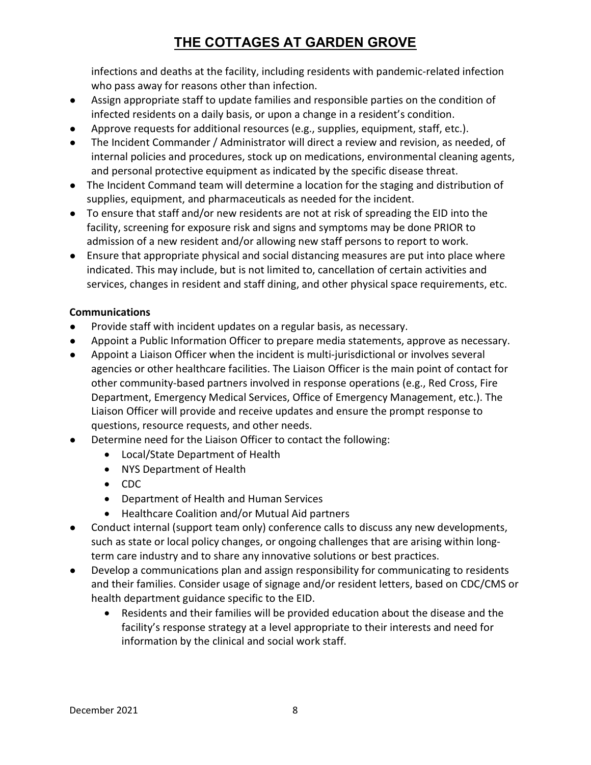infections and deaths at the facility, including residents with pandemic-related infection who pass away for reasons other than infection.

- Assign appropriate staff to update families and responsible parties on the condition of infected residents on a daily basis, or upon a change in a resident's condition.
- Approve requests for additional resources (e.g., supplies, equipment, staff, etc.).
- The Incident Commander / Administrator will direct a review and revision, as needed, of internal policies and procedures, stock up on medications, environmental cleaning agents, and personal protective equipment as indicated by the specific disease threat.
- The Incident Command team will determine a location for the staging and distribution of supplies, equipment, and pharmaceuticals as needed for the incident.
- To ensure that staff and/or new residents are not at risk of spreading the EID into the facility, screening for exposure risk and signs and symptoms may be done PRIOR to admission of a new resident and/or allowing new staff persons to report to work.
- Ensure that appropriate physical and social distancing measures are put into place where indicated. This may include, but is not limited to, cancellation of certain activities and services, changes in resident and staff dining, and other physical space requirements, etc.

### Communications

- Provide staff with incident updates on a regular basis, as necessary.
- Appoint a Public Information Officer to prepare media statements, approve as necessary.
- Appoint a Liaison Officer when the incident is multi-jurisdictional or involves several agencies or other healthcare facilities. The Liaison Officer is the main point of contact for other community-based partners involved in response operations (e.g., Red Cross, Fire Department, Emergency Medical Services, Office of Emergency Management, etc.). The Liaison Officer will provide and receive updates and ensure the prompt response to questions, resource requests, and other needs.
- Determine need for the Liaison Officer to contact the following:
	- Local/State Department of Health
	- NYS Department of Health
	- CDC
	- Department of Health and Human Services
	- Healthcare Coalition and/or Mutual Aid partners
- Conduct internal (support team only) conference calls to discuss any new developments, such as state or local policy changes, or ongoing challenges that are arising within longterm care industry and to share any innovative solutions or best practices.
- Develop a communications plan and assign responsibility for communicating to residents and their families. Consider usage of signage and/or resident letters, based on CDC/CMS or health department guidance specific to the EID.
	- Residents and their families will be provided education about the disease and the facility's response strategy at a level appropriate to their interests and need for information by the clinical and social work staff.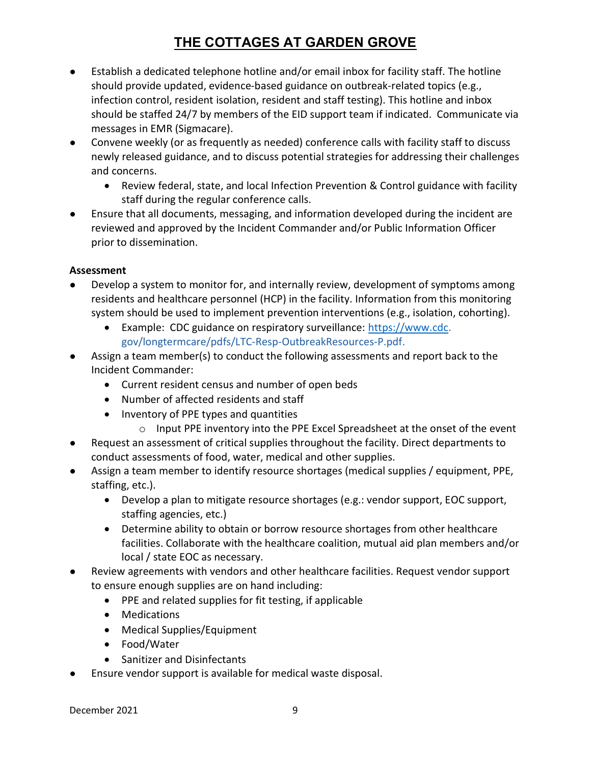- Establish a dedicated telephone hotline and/or email inbox for facility staff. The hotline should provide updated, evidence-based guidance on outbreak-related topics (e.g., infection control, resident isolation, resident and staff testing). This hotline and inbox should be staffed 24/7 by members of the EID support team if indicated. Communicate via messages in EMR (Sigmacare).
- Convene weekly (or as frequently as needed) conference calls with facility staff to discuss newly released guidance, and to discuss potential strategies for addressing their challenges and concerns.
	- Review federal, state, and local Infection Prevention & Control guidance with facility staff during the regular conference calls.
- Ensure that all documents, messaging, and information developed during the incident are reviewed and approved by the Incident Commander and/or Public Information Officer prior to dissemination.

### Assessment

- Develop a system to monitor for, and internally review, development of symptoms among residents and healthcare personnel (HCP) in the facility. Information from this monitoring system should be used to implement prevention interventions (e.g., isolation, cohorting).
	- Example: CDC guidance on respiratory surveillance: https://www.cdc. gov/longtermcare/pdfs/LTC-Resp-OutbreakResources-P.pdf.
- Assign a team member(s) to conduct the following assessments and report back to the Incident Commander:
	- Current resident census and number of open beds
	- Number of affected residents and staff
	- Inventory of PPE types and quantities
		- o Input PPE inventory into the PPE Excel Spreadsheet at the onset of the event
- Request an assessment of critical supplies throughout the facility. Direct departments to conduct assessments of food, water, medical and other supplies.
- Assign a team member to identify resource shortages (medical supplies / equipment, PPE, staffing, etc.).
	- Develop a plan to mitigate resource shortages (e.g.: vendor support, EOC support, staffing agencies, etc.)
	- Determine ability to obtain or borrow resource shortages from other healthcare facilities. Collaborate with the healthcare coalition, mutual aid plan members and/or local / state EOC as necessary.
- Review agreements with vendors and other healthcare facilities. Request vendor support to ensure enough supplies are on hand including:
	- PPE and related supplies for fit testing, if applicable
	- Medications
	- Medical Supplies/Equipment
	- Food/Water
	- Sanitizer and Disinfectants
- Ensure vendor support is available for medical waste disposal.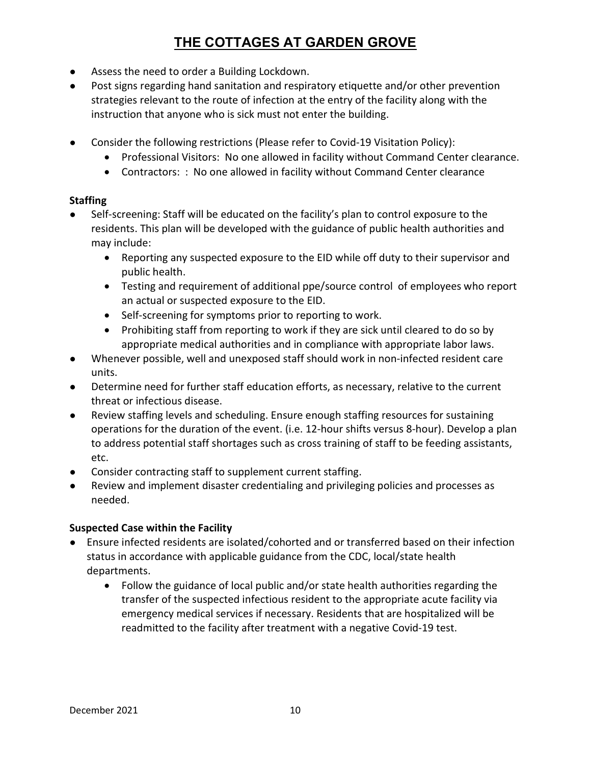- Assess the need to order a Building Lockdown.
- Post signs regarding hand sanitation and respiratory etiquette and/or other prevention strategies relevant to the route of infection at the entry of the facility along with the instruction that anyone who is sick must not enter the building.
- Consider the following restrictions (Please refer to Covid-19 Visitation Policy):
	- Professional Visitors: No one allowed in facility without Command Center clearance.
	- Contractors: : No one allowed in facility without Command Center clearance

### **Staffing**

- Self-screening: Staff will be educated on the facility's plan to control exposure to the residents. This plan will be developed with the guidance of public health authorities and may include:
	- Reporting any suspected exposure to the EID while off duty to their supervisor and public health.
	- Testing and requirement of additional ppe/source control of employees who report an actual or suspected exposure to the EID.
	- Self-screening for symptoms prior to reporting to work.
	- Prohibiting staff from reporting to work if they are sick until cleared to do so by appropriate medical authorities and in compliance with appropriate labor laws.
- Whenever possible, well and unexposed staff should work in non-infected resident care units.
- Determine need for further staff education efforts, as necessary, relative to the current threat or infectious disease.
- Review staffing levels and scheduling. Ensure enough staffing resources for sustaining operations for the duration of the event. (i.e. 12-hour shifts versus 8-hour). Develop a plan to address potential staff shortages such as cross training of staff to be feeding assistants, etc.
- Consider contracting staff to supplement current staffing.
- Review and implement disaster credentialing and privileging policies and processes as needed.

### Suspected Case within the Facility

- Ensure infected residents are isolated/cohorted and or transferred based on their infection status in accordance with applicable guidance from the CDC, local/state health departments.
	- Follow the guidance of local public and/or state health authorities regarding the transfer of the suspected infectious resident to the appropriate acute facility via emergency medical services if necessary. Residents that are hospitalized will be readmitted to the facility after treatment with a negative Covid-19 test.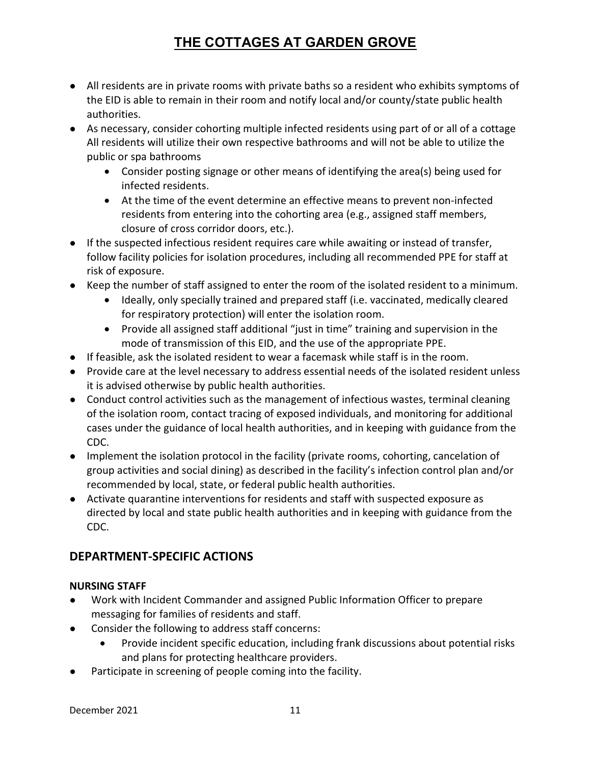- All residents are in private rooms with private baths so a resident who exhibits symptoms of the EID is able to remain in their room and notify local and/or county/state public health authorities.
- As necessary, consider cohorting multiple infected residents using part of or all of a cottage All residents will utilize their own respective bathrooms and will not be able to utilize the public or spa bathrooms
	- Consider posting signage or other means of identifying the area(s) being used for infected residents.
	- At the time of the event determine an effective means to prevent non-infected residents from entering into the cohorting area (e.g., assigned staff members, closure of cross corridor doors, etc.).
- If the suspected infectious resident requires care while awaiting or instead of transfer, follow facility policies for isolation procedures, including all recommended PPE for staff at risk of exposure.
- Keep the number of staff assigned to enter the room of the isolated resident to a minimum.
	- Ideally, only specially trained and prepared staff (i.e. vaccinated, medically cleared for respiratory protection) will enter the isolation room.
	- Provide all assigned staff additional "just in time" training and supervision in the mode of transmission of this EID, and the use of the appropriate PPE.
- If feasible, ask the isolated resident to wear a facemask while staff is in the room.
- Provide care at the level necessary to address essential needs of the isolated resident unless it is advised otherwise by public health authorities.
- Conduct control activities such as the management of infectious wastes, terminal cleaning of the isolation room, contact tracing of exposed individuals, and monitoring for additional cases under the guidance of local health authorities, and in keeping with guidance from the CDC.
- Implement the isolation protocol in the facility (private rooms, cohorting, cancelation of group activities and social dining) as described in the facility's infection control plan and/or recommended by local, state, or federal public health authorities.
- Activate quarantine interventions for residents and staff with suspected exposure as directed by local and state public health authorities and in keeping with guidance from the CDC.

## DEPARTMENT-SPECIFIC ACTIONS

## NURSING STAFF

- Work with Incident Commander and assigned Public Information Officer to prepare messaging for families of residents and staff.
- Consider the following to address staff concerns:
	- Provide incident specific education, including frank discussions about potential risks and plans for protecting healthcare providers.
- Participate in screening of people coming into the facility.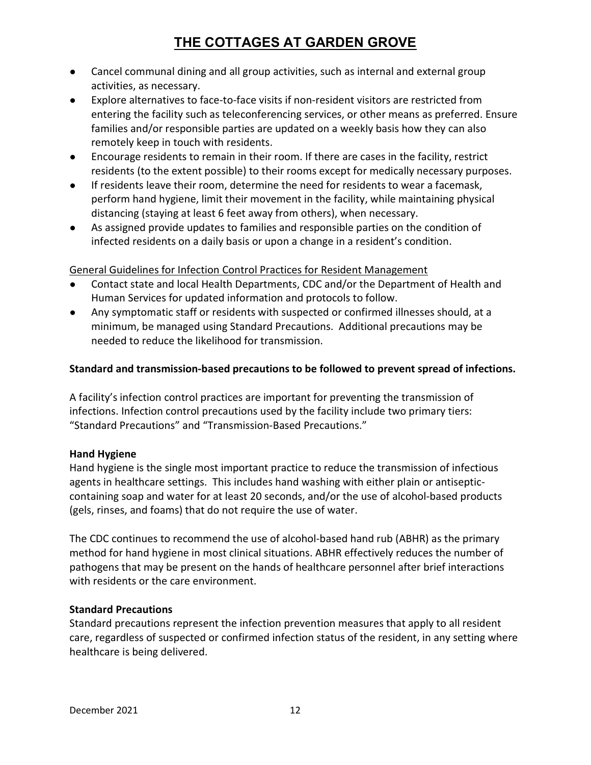- Cancel communal dining and all group activities, such as internal and external group activities, as necessary.
- Explore alternatives to face-to-face visits if non-resident visitors are restricted from entering the facility such as teleconferencing services, or other means as preferred. Ensure families and/or responsible parties are updated on a weekly basis how they can also remotely keep in touch with residents.
- Encourage residents to remain in their room. If there are cases in the facility, restrict residents (to the extent possible) to their rooms except for medically necessary purposes.
- If residents leave their room, determine the need for residents to wear a facemask, perform hand hygiene, limit their movement in the facility, while maintaining physical distancing (staying at least 6 feet away from others), when necessary.
- As assigned provide updates to families and responsible parties on the condition of infected residents on a daily basis or upon a change in a resident's condition.

General Guidelines for Infection Control Practices for Resident Management

- Contact state and local Health Departments, CDC and/or the Department of Health and Human Services for updated information and protocols to follow.
- Any symptomatic staff or residents with suspected or confirmed illnesses should, at a minimum, be managed using Standard Precautions. Additional precautions may be needed to reduce the likelihood for transmission.

### Standard and transmission-based precautions to be followed to prevent spread of infections.

A facility's infection control practices are important for preventing the transmission of infections. Infection control precautions used by the facility include two primary tiers: "Standard Precautions" and "Transmission-Based Precautions."

### Hand Hygiene

Hand hygiene is the single most important practice to reduce the transmission of infectious agents in healthcare settings. This includes hand washing with either plain or antisepticcontaining soap and water for at least 20 seconds, and/or the use of alcohol-based products (gels, rinses, and foams) that do not require the use of water.

The CDC continues to recommend the use of alcohol-based hand rub (ABHR) as the primary method for hand hygiene in most clinical situations. ABHR effectively reduces the number of pathogens that may be present on the hands of healthcare personnel after brief interactions with residents or the care environment.

### Standard Precautions

Standard precautions represent the infection prevention measures that apply to all resident care, regardless of suspected or confirmed infection status of the resident, in any setting where healthcare is being delivered.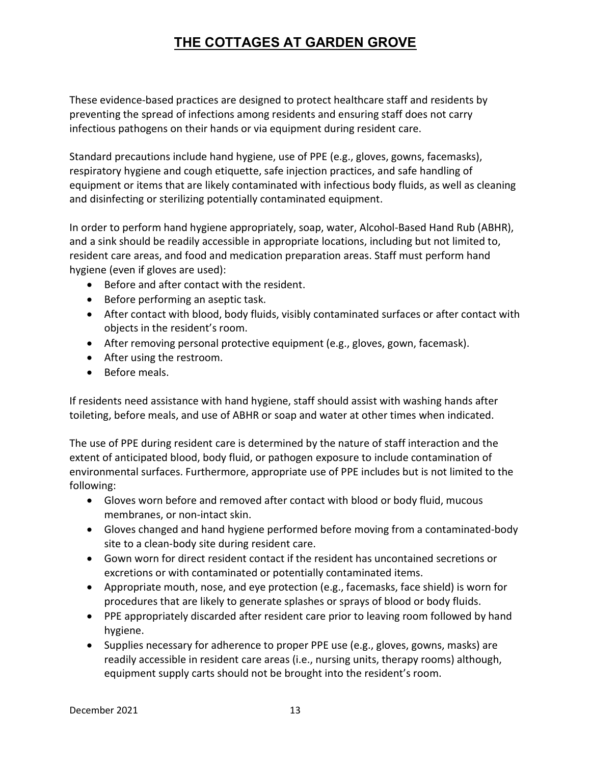These evidence-based practices are designed to protect healthcare staff and residents by preventing the spread of infections among residents and ensuring staff does not carry infectious pathogens on their hands or via equipment during resident care.

Standard precautions include hand hygiene, use of PPE (e.g., gloves, gowns, facemasks), respiratory hygiene and cough etiquette, safe injection practices, and safe handling of equipment or items that are likely contaminated with infectious body fluids, as well as cleaning and disinfecting or sterilizing potentially contaminated equipment.

In order to perform hand hygiene appropriately, soap, water, Alcohol-Based Hand Rub (ABHR), and a sink should be readily accessible in appropriate locations, including but not limited to, resident care areas, and food and medication preparation areas. Staff must perform hand hygiene (even if gloves are used):

- Before and after contact with the resident.
- Before performing an aseptic task.
- After contact with blood, body fluids, visibly contaminated surfaces or after contact with objects in the resident's room.
- After removing personal protective equipment (e.g., gloves, gown, facemask).
- After using the restroom.
- Before meals.

If residents need assistance with hand hygiene, staff should assist with washing hands after toileting, before meals, and use of ABHR or soap and water at other times when indicated.

The use of PPE during resident care is determined by the nature of staff interaction and the extent of anticipated blood, body fluid, or pathogen exposure to include contamination of environmental surfaces. Furthermore, appropriate use of PPE includes but is not limited to the following:

- Gloves worn before and removed after contact with blood or body fluid, mucous membranes, or non-intact skin.
- Gloves changed and hand hygiene performed before moving from a contaminated-body site to a clean-body site during resident care.
- Gown worn for direct resident contact if the resident has uncontained secretions or excretions or with contaminated or potentially contaminated items.
- Appropriate mouth, nose, and eye protection (e.g., facemasks, face shield) is worn for procedures that are likely to generate splashes or sprays of blood or body fluids.
- PPE appropriately discarded after resident care prior to leaving room followed by hand hygiene.
- Supplies necessary for adherence to proper PPE use (e.g., gloves, gowns, masks) are readily accessible in resident care areas (i.e., nursing units, therapy rooms) although, equipment supply carts should not be brought into the resident's room.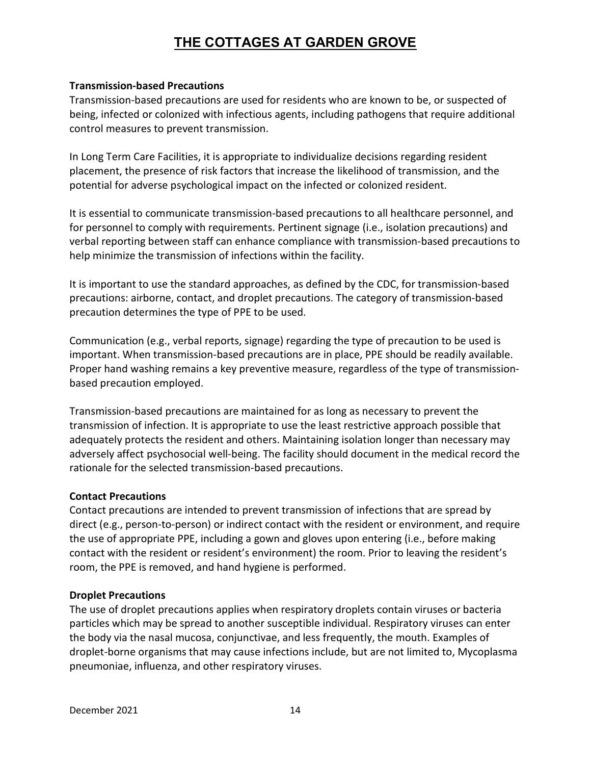#### Transmission-based Precautions

Transmission-based precautions are used for residents who are known to be, or suspected of being, infected or colonized with infectious agents, including pathogens that require additional control measures to prevent transmission.

In Long Term Care Facilities, it is appropriate to individualize decisions regarding resident placement, the presence of risk factors that increase the likelihood of transmission, and the potential for adverse psychological impact on the infected or colonized resident.

It is essential to communicate transmission-based precautions to all healthcare personnel, and for personnel to comply with requirements. Pertinent signage (i.e., isolation precautions) and verbal reporting between staff can enhance compliance with transmission-based precautions to help minimize the transmission of infections within the facility.

It is important to use the standard approaches, as defined by the CDC, for transmission-based precautions: airborne, contact, and droplet precautions. The category of transmission-based precaution determines the type of PPE to be used.

Communication (e.g., verbal reports, signage) regarding the type of precaution to be used is important. When transmission-based precautions are in place, PPE should be readily available. Proper hand washing remains a key preventive measure, regardless of the type of transmissionbased precaution employed.

Transmission-based precautions are maintained for as long as necessary to prevent the transmission of infection. It is appropriate to use the least restrictive approach possible that adequately protects the resident and others. Maintaining isolation longer than necessary may adversely affect psychosocial well-being. The facility should document in the medical record the rationale for the selected transmission-based precautions.

#### Contact Precautions

Contact precautions are intended to prevent transmission of infections that are spread by direct (e.g., person-to-person) or indirect contact with the resident or environment, and require the use of appropriate PPE, including a gown and gloves upon entering (i.e., before making contact with the resident or resident's environment) the room. Prior to leaving the resident's room, the PPE is removed, and hand hygiene is performed.

#### Droplet Precautions

The use of droplet precautions applies when respiratory droplets contain viruses or bacteria particles which may be spread to another susceptible individual. Respiratory viruses can enter the body via the nasal mucosa, conjunctivae, and less frequently, the mouth. Examples of droplet-borne organisms that may cause infections include, but are not limited to, Mycoplasma pneumoniae, influenza, and other respiratory viruses.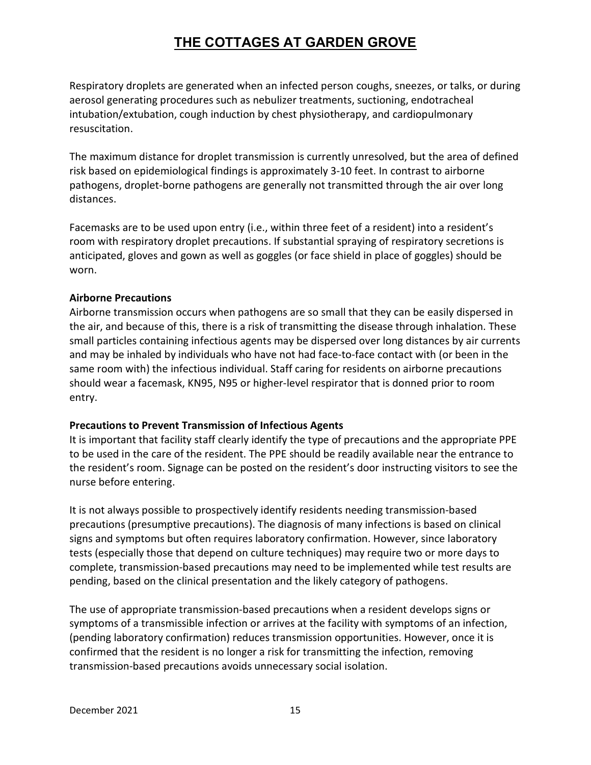Respiratory droplets are generated when an infected person coughs, sneezes, or talks, or during aerosol generating procedures such as nebulizer treatments, suctioning, endotracheal intubation/extubation, cough induction by chest physiotherapy, and cardiopulmonary resuscitation.

The maximum distance for droplet transmission is currently unresolved, but the area of defined risk based on epidemiological findings is approximately 3-10 feet. In contrast to airborne pathogens, droplet-borne pathogens are generally not transmitted through the air over long distances.

Facemasks are to be used upon entry (i.e., within three feet of a resident) into a resident's room with respiratory droplet precautions. If substantial spraying of respiratory secretions is anticipated, gloves and gown as well as goggles (or face shield in place of goggles) should be worn.

#### Airborne Precautions

Airborne transmission occurs when pathogens are so small that they can be easily dispersed in the air, and because of this, there is a risk of transmitting the disease through inhalation. These small particles containing infectious agents may be dispersed over long distances by air currents and may be inhaled by individuals who have not had face-to-face contact with (or been in the same room with) the infectious individual. Staff caring for residents on airborne precautions should wear a facemask, KN95, N95 or higher-level respirator that is donned prior to room entry.

### Precautions to Prevent Transmission of Infectious Agents

It is important that facility staff clearly identify the type of precautions and the appropriate PPE to be used in the care of the resident. The PPE should be readily available near the entrance to the resident's room. Signage can be posted on the resident's door instructing visitors to see the nurse before entering.

It is not always possible to prospectively identify residents needing transmission-based precautions (presumptive precautions). The diagnosis of many infections is based on clinical signs and symptoms but often requires laboratory confirmation. However, since laboratory tests (especially those that depend on culture techniques) may require two or more days to complete, transmission-based precautions may need to be implemented while test results are pending, based on the clinical presentation and the likely category of pathogens.

The use of appropriate transmission-based precautions when a resident develops signs or symptoms of a transmissible infection or arrives at the facility with symptoms of an infection, (pending laboratory confirmation) reduces transmission opportunities. However, once it is confirmed that the resident is no longer a risk for transmitting the infection, removing transmission-based precautions avoids unnecessary social isolation.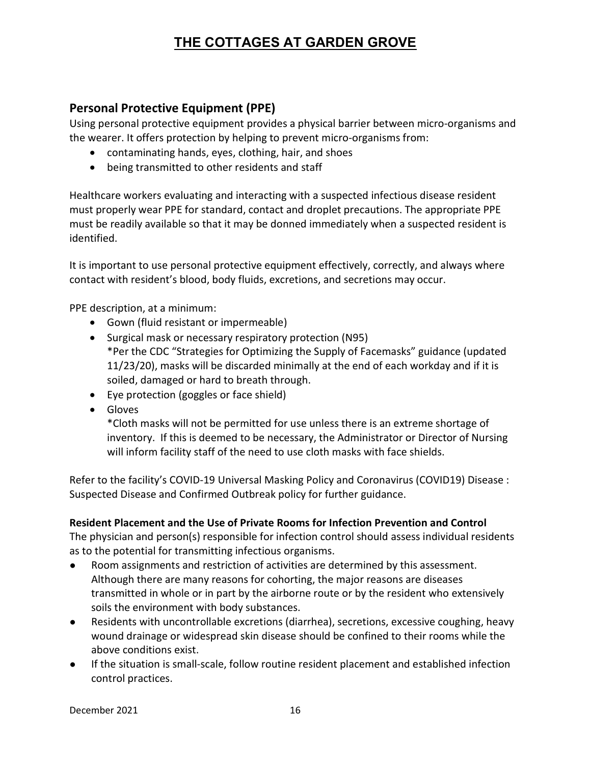## Personal Protective Equipment (PPE)

Using personal protective equipment provides a physical barrier between micro-organisms and the wearer. It offers protection by helping to prevent micro-organisms from:

- contaminating hands, eyes, clothing, hair, and shoes
- being transmitted to other residents and staff

Healthcare workers evaluating and interacting with a suspected infectious disease resident must properly wear PPE for standard, contact and droplet precautions. The appropriate PPE must be readily available so that it may be donned immediately when a suspected resident is identified.

It is important to use personal protective equipment effectively, correctly, and always where contact with resident's blood, body fluids, excretions, and secretions may occur.

PPE description, at a minimum:

- Gown (fluid resistant or impermeable)
- Surgical mask or necessary respiratory protection (N95) \*Per the CDC "Strategies for Optimizing the Supply of Facemasks" guidance (updated 11/23/20), masks will be discarded minimally at the end of each workday and if it is soiled, damaged or hard to breath through.
- Eye protection (goggles or face shield)
- Gloves

\*Cloth masks will not be permitted for use unless there is an extreme shortage of inventory. If this is deemed to be necessary, the Administrator or Director of Nursing will inform facility staff of the need to use cloth masks with face shields.

Refer to the facility's COVID-19 Universal Masking Policy and Coronavirus (COVID19) Disease : Suspected Disease and Confirmed Outbreak policy for further guidance.

### Resident Placement and the Use of Private Rooms for Infection Prevention and Control

The physician and person(s) responsible for infection control should assess individual residents as to the potential for transmitting infectious organisms.

- Room assignments and restriction of activities are determined by this assessment. Although there are many reasons for cohorting, the major reasons are diseases transmitted in whole or in part by the airborne route or by the resident who extensively soils the environment with body substances.
- Residents with uncontrollable excretions (diarrhea), secretions, excessive coughing, heavy wound drainage or widespread skin disease should be confined to their rooms while the above conditions exist.
- If the situation is small-scale, follow routine resident placement and established infection control practices.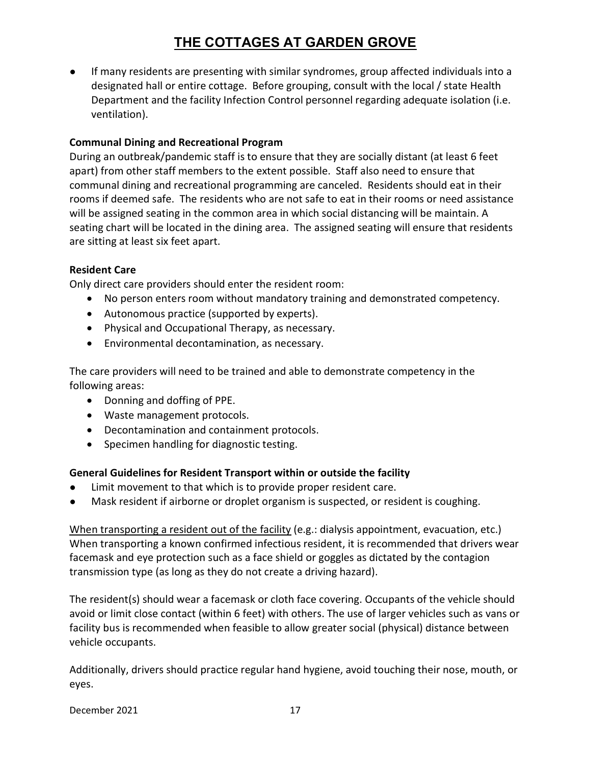● If many residents are presenting with similar syndromes, group affected individuals into a designated hall or entire cottage. Before grouping, consult with the local / state Health Department and the facility Infection Control personnel regarding adequate isolation (i.e. ventilation).

### Communal Dining and Recreational Program

During an outbreak/pandemic staff is to ensure that they are socially distant (at least 6 feet apart) from other staff members to the extent possible. Staff also need to ensure that communal dining and recreational programming are canceled. Residents should eat in their rooms if deemed safe. The residents who are not safe to eat in their rooms or need assistance will be assigned seating in the common area in which social distancing will be maintain. A seating chart will be located in the dining area. The assigned seating will ensure that residents are sitting at least six feet apart.

#### Resident Care

Only direct care providers should enter the resident room:

- No person enters room without mandatory training and demonstrated competency.
- Autonomous practice (supported by experts).
- Physical and Occupational Therapy, as necessary.
- Environmental decontamination, as necessary.

The care providers will need to be trained and able to demonstrate competency in the following areas:

- Donning and doffing of PPE.
- Waste management protocols.
- Decontamination and containment protocols.
- Specimen handling for diagnostic testing.

### General Guidelines for Resident Transport within or outside the facility

- Limit movement to that which is to provide proper resident care.
- Mask resident if airborne or droplet organism is suspected, or resident is coughing.

When transporting a resident out of the facility (e.g.: dialysis appointment, evacuation, etc.) When transporting a known confirmed infectious resident, it is recommended that drivers wear facemask and eye protection such as a face shield or goggles as dictated by the contagion transmission type (as long as they do not create a driving hazard).

The resident(s) should wear a facemask or cloth face covering. Occupants of the vehicle should avoid or limit close contact (within 6 feet) with others. The use of larger vehicles such as vans or facility bus is recommended when feasible to allow greater social (physical) distance between vehicle occupants.

Additionally, drivers should practice regular hand hygiene, avoid touching their nose, mouth, or eyes.

December 2021 17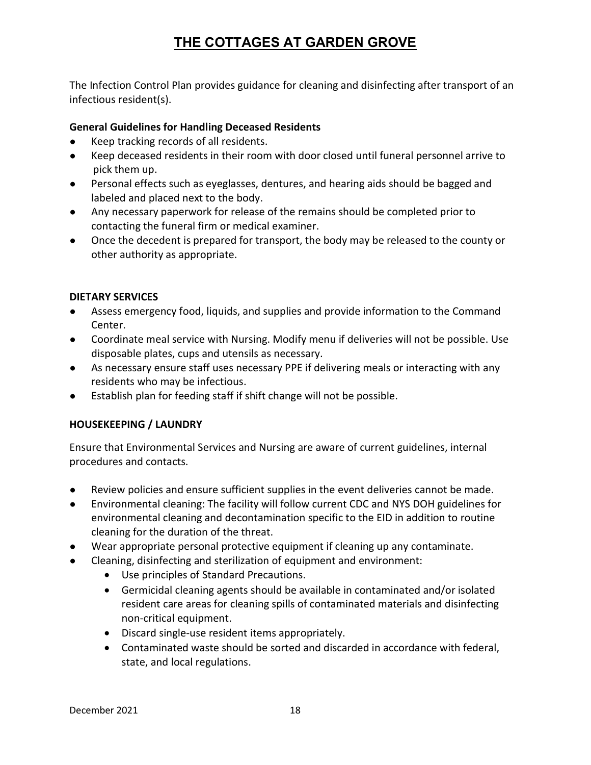The Infection Control Plan provides guidance for cleaning and disinfecting after transport of an infectious resident(s).

### General Guidelines for Handling Deceased Residents

- Keep tracking records of all residents.
- Keep deceased residents in their room with door closed until funeral personnel arrive to pick them up.
- Personal effects such as eyeglasses, dentures, and hearing aids should be bagged and labeled and placed next to the body.
- Any necessary paperwork for release of the remains should be completed prior to contacting the funeral firm or medical examiner.
- Once the decedent is prepared for transport, the body may be released to the county or other authority as appropriate.

#### DIETARY SERVICES

- Assess emergency food, liquids, and supplies and provide information to the Command Center.
- Coordinate meal service with Nursing. Modify menu if deliveries will not be possible. Use disposable plates, cups and utensils as necessary.
- As necessary ensure staff uses necessary PPE if delivering meals or interacting with any residents who may be infectious.
- Establish plan for feeding staff if shift change will not be possible.

### HOUSEKEEPING / LAUNDRY

Ensure that Environmental Services and Nursing are aware of current guidelines, internal procedures and contacts.

- Review policies and ensure sufficient supplies in the event deliveries cannot be made.
- Environmental cleaning: The facility will follow current CDC and NYS DOH guidelines for environmental cleaning and decontamination specific to the EID in addition to routine cleaning for the duration of the threat.
- Wear appropriate personal protective equipment if cleaning up any contaminate.
- Cleaning, disinfecting and sterilization of equipment and environment:
	- Use principles of Standard Precautions.
	- Germicidal cleaning agents should be available in contaminated and/or isolated resident care areas for cleaning spills of contaminated materials and disinfecting non-critical equipment.
	- Discard single-use resident items appropriately.
	- Contaminated waste should be sorted and discarded in accordance with federal, state, and local regulations.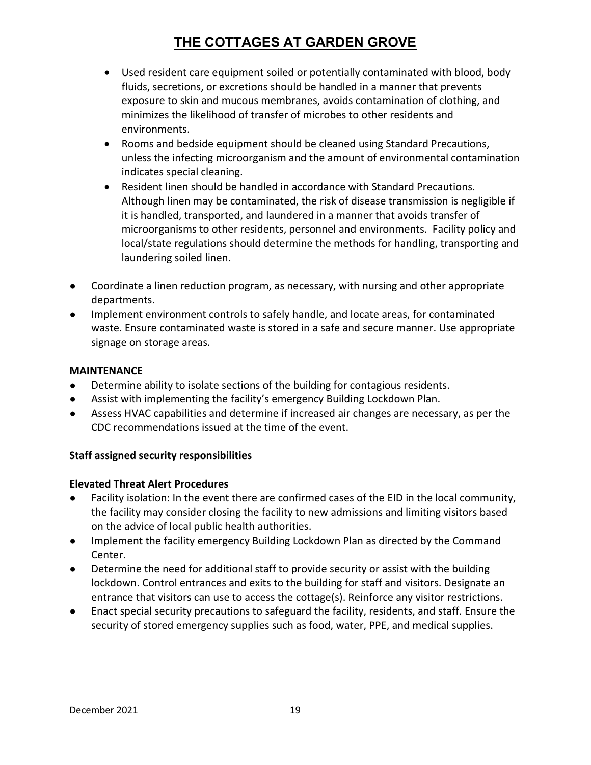- Used resident care equipment soiled or potentially contaminated with blood, body fluids, secretions, or excretions should be handled in a manner that prevents exposure to skin and mucous membranes, avoids contamination of clothing, and minimizes the likelihood of transfer of microbes to other residents and environments.
- Rooms and bedside equipment should be cleaned using Standard Precautions, unless the infecting microorganism and the amount of environmental contamination indicates special cleaning.
- Resident linen should be handled in accordance with Standard Precautions. Although linen may be contaminated, the risk of disease transmission is negligible if it is handled, transported, and laundered in a manner that avoids transfer of microorganisms to other residents, personnel and environments. Facility policy and local/state regulations should determine the methods for handling, transporting and laundering soiled linen.
- Coordinate a linen reduction program, as necessary, with nursing and other appropriate departments.
- Implement environment controls to safely handle, and locate areas, for contaminated waste. Ensure contaminated waste is stored in a safe and secure manner. Use appropriate signage on storage areas.

#### MAINTENANCE

- Determine ability to isolate sections of the building for contagious residents.
- Assist with implementing the facility's emergency Building Lockdown Plan.
- Assess HVAC capabilities and determine if increased air changes are necessary, as per the CDC recommendations issued at the time of the event.

### Staff assigned security responsibilities

#### Elevated Threat Alert Procedures

- Facility isolation: In the event there are confirmed cases of the EID in the local community, the facility may consider closing the facility to new admissions and limiting visitors based on the advice of local public health authorities.
- Implement the facility emergency Building Lockdown Plan as directed by the Command Center.
- Determine the need for additional staff to provide security or assist with the building lockdown. Control entrances and exits to the building for staff and visitors. Designate an entrance that visitors can use to access the cottage(s). Reinforce any visitor restrictions.
- Enact special security precautions to safeguard the facility, residents, and staff. Ensure the security of stored emergency supplies such as food, water, PPE, and medical supplies.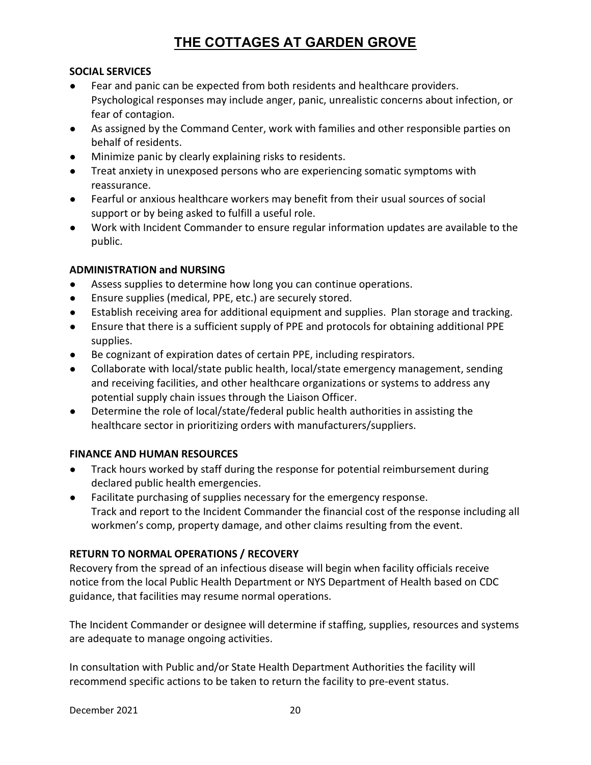### SOCIAL SERVICES

- Fear and panic can be expected from both residents and healthcare providers. Psychological responses may include anger, panic, unrealistic concerns about infection, or fear of contagion.
- As assigned by the Command Center, work with families and other responsible parties on behalf of residents.
- Minimize panic by clearly explaining risks to residents.
- Treat anxiety in unexposed persons who are experiencing somatic symptoms with reassurance.
- Fearful or anxious healthcare workers may benefit from their usual sources of social support or by being asked to fulfill a useful role.
- Work with Incident Commander to ensure regular information updates are available to the public.

### ADMINISTRATION and NURSING

- Assess supplies to determine how long you can continue operations.
- Ensure supplies (medical, PPE, etc.) are securely stored.
- Establish receiving area for additional equipment and supplies. Plan storage and tracking.
- Ensure that there is a sufficient supply of PPE and protocols for obtaining additional PPE supplies.
- Be cognizant of expiration dates of certain PPE, including respirators.
- Collaborate with local/state public health, local/state emergency management, sending and receiving facilities, and other healthcare organizations or systems to address any potential supply chain issues through the Liaison Officer.
- Determine the role of local/state/federal public health authorities in assisting the healthcare sector in prioritizing orders with manufacturers/suppliers.

### FINANCE AND HUMAN RESOURCES

- Track hours worked by staff during the response for potential reimbursement during declared public health emergencies.
- Facilitate purchasing of supplies necessary for the emergency response. Track and report to the Incident Commander the financial cost of the response including all workmen's comp, property damage, and other claims resulting from the event.

### RETURN TO NORMAL OPERATIONS / RECOVERY

Recovery from the spread of an infectious disease will begin when facility officials receive notice from the local Public Health Department or NYS Department of Health based on CDC guidance, that facilities may resume normal operations.

The Incident Commander or designee will determine if staffing, supplies, resources and systems are adequate to manage ongoing activities.

In consultation with Public and/or State Health Department Authorities the facility will recommend specific actions to be taken to return the facility to pre-event status.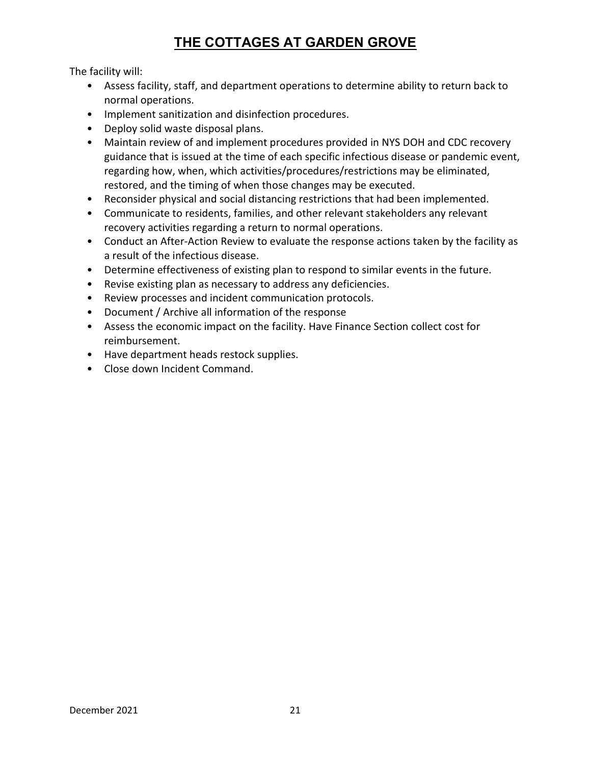The facility will:

- Assess facility, staff, and department operations to determine ability to return back to normal operations.
- Implement sanitization and disinfection procedures.
- Deploy solid waste disposal plans.
- Maintain review of and implement procedures provided in NYS DOH and CDC recovery guidance that is issued at the time of each specific infectious disease or pandemic event, regarding how, when, which activities/procedures/restrictions may be eliminated, restored, and the timing of when those changes may be executed.
- Reconsider physical and social distancing restrictions that had been implemented.
- Communicate to residents, families, and other relevant stakeholders any relevant recovery activities regarding a return to normal operations.
- Conduct an After-Action Review to evaluate the response actions taken by the facility as a result of the infectious disease.
- Determine effectiveness of existing plan to respond to similar events in the future.
- Revise existing plan as necessary to address any deficiencies.
- Review processes and incident communication protocols.
- Document / Archive all information of the response
- Assess the economic impact on the facility. Have Finance Section collect cost for reimbursement.
- Have department heads restock supplies.
- Close down Incident Command.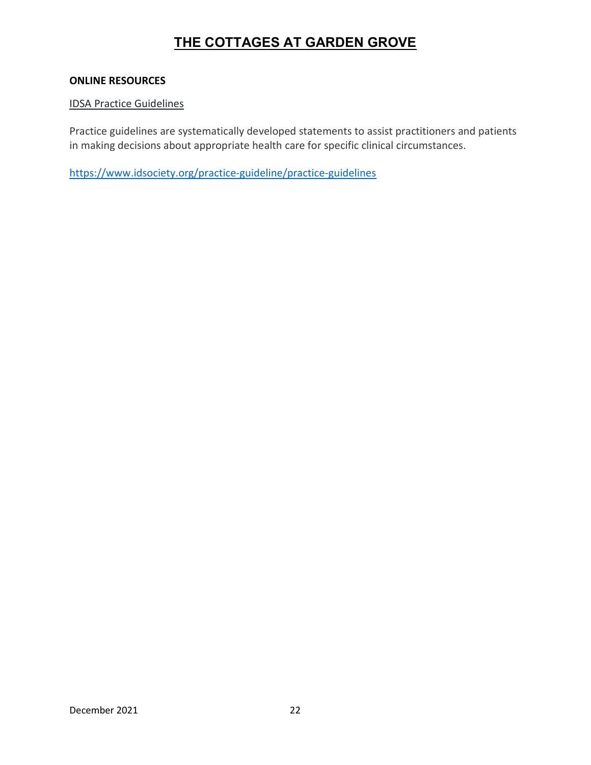#### ONLINE RESOURCES

#### IDSA Practice Guidelines

Practice guidelines are systematically developed statements to assist practitioners and patients in making decisions about appropriate health care for specific clinical circumstances.

https://www.idsociety.org/practice-guideline/practice-guidelines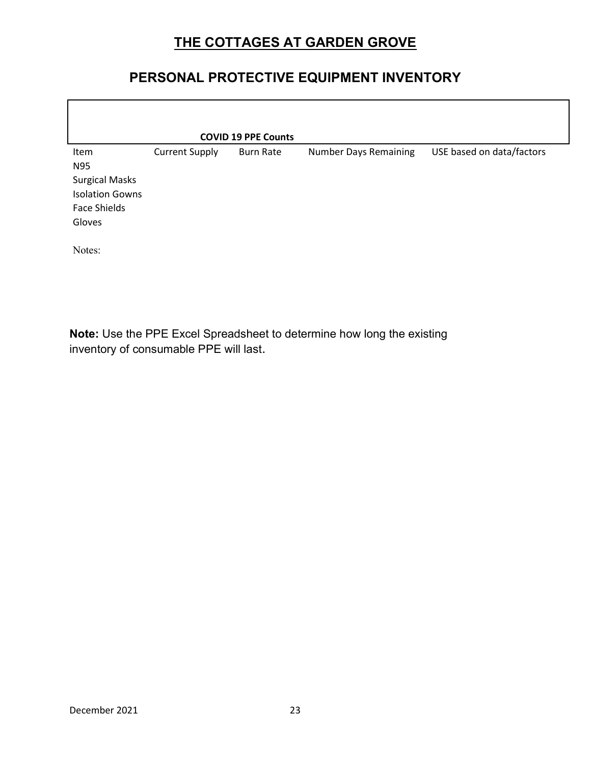# PERSONAL PROTECTIVE EQUIPMENT INVENTORY

|                                                                                                 |                       | <b>COVID 19 PPE Counts</b> |                              |                           |
|-------------------------------------------------------------------------------------------------|-----------------------|----------------------------|------------------------------|---------------------------|
| Item<br>N95<br><b>Surgical Masks</b><br><b>Isolation Gowns</b><br><b>Face Shields</b><br>Gloves | <b>Current Supply</b> | <b>Burn Rate</b>           | <b>Number Days Remaining</b> | USE based on data/factors |
| Notes:                                                                                          |                       |                            |                              |                           |

Note: Use the PPE Excel Spreadsheet to determine how long the existing inventory of consumable PPE will last.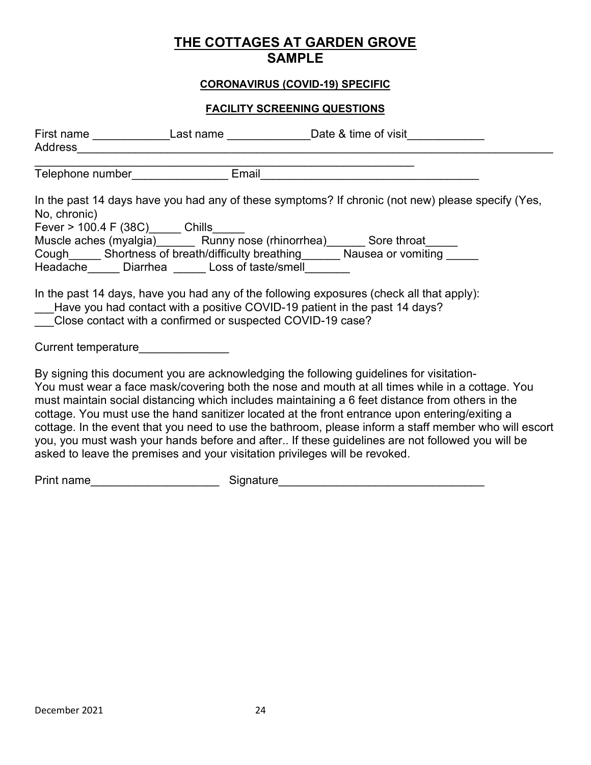## THE COTTAGES AT GARDEN GROVE SAMPLE

### CORONAVIRUS (COVID-19) SPECIFIC

### FACILITY SCREENING QUESTIONS

| Address Address Address Address Address Address Address Address Address Address Address Address Address Address Address Address Address Address Address Address Address Address Address Address Address Address Address Address |                                                                                                                           | First name ________________Last name ________________Date & time of visit________                                                                                                                                                                                                                                                                                                                                                                                                                                                                                                                                                                                                          |
|---------------------------------------------------------------------------------------------------------------------------------------------------------------------------------------------------------------------------------|---------------------------------------------------------------------------------------------------------------------------|--------------------------------------------------------------------------------------------------------------------------------------------------------------------------------------------------------------------------------------------------------------------------------------------------------------------------------------------------------------------------------------------------------------------------------------------------------------------------------------------------------------------------------------------------------------------------------------------------------------------------------------------------------------------------------------------|
|                                                                                                                                                                                                                                 |                                                                                                                           | Telephone number <b>Email</b> Email                                                                                                                                                                                                                                                                                                                                                                                                                                                                                                                                                                                                                                                        |
| No, chronic)<br>Fever > 100.4 F (38C) Chills                                                                                                                                                                                    | Headache ______ Diarrhea ______ Loss of taste/smell________<br>Close contact with a confirmed or suspected COVID-19 case? | In the past 14 days have you had any of these symptoms? If chronic (not new) please specify (Yes,<br>Muscle aches (myalgia) Runny nose (rhinorrhea) Sore throat<br>Cough______ Shortness of breath/difficulty breathing_______ Nausea or vomiting _____<br>In the past 14 days, have you had any of the following exposures (check all that apply):<br>___Have you had contact with a positive COVID-19 patient in the past 14 days?                                                                                                                                                                                                                                                       |
| Current temperature current control of the control of the control of the control of the control of the control o                                                                                                                |                                                                                                                           |                                                                                                                                                                                                                                                                                                                                                                                                                                                                                                                                                                                                                                                                                            |
|                                                                                                                                                                                                                                 |                                                                                                                           | By signing this document you are acknowledging the following guidelines for visitation-<br>You must wear a face mask/covering both the nose and mouth at all times while in a cottage. You<br>must maintain social distancing which includes maintaining a 6 feet distance from others in the<br>cottage. You must use the hand sanitizer located at the front entrance upon entering/exiting a<br>cottage. In the event that you need to use the bathroom, please inform a staff member who will escort<br>you, you must wash your hands before and after If these guidelines are not followed you will be<br>asked to leave the premises and your visitation privileges will be revoked. |
| Print name_________________________                                                                                                                                                                                             |                                                                                                                           |                                                                                                                                                                                                                                                                                                                                                                                                                                                                                                                                                                                                                                                                                            |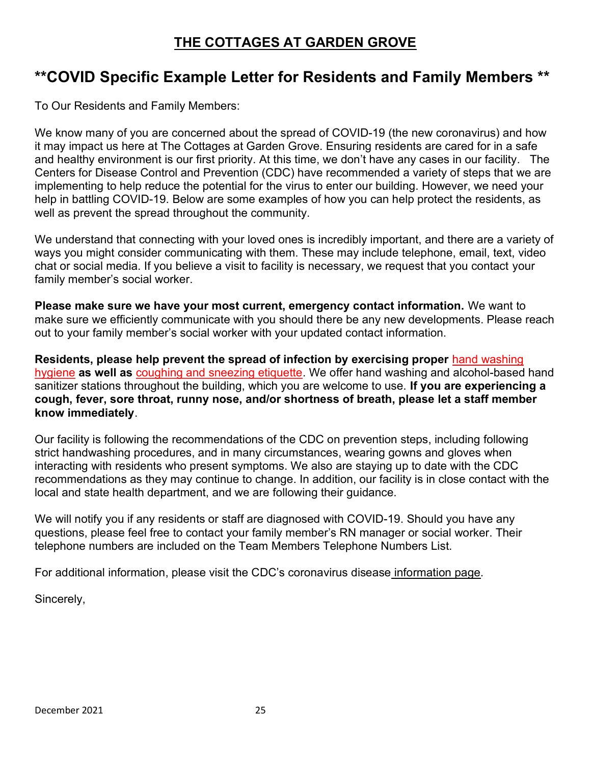# \*\*COVID Specific Example Letter for Residents and Family Members \*\*

To Our Residents and Family Members:

We know many of you are concerned about the spread of COVID-19 (the new coronavirus) and how it may impact us here at The Cottages at Garden Grove. Ensuring residents are cared for in a safe and healthy environment is our first priority. At this time, we don't have any cases in our facility. The Centers for Disease Control and Prevention (CDC) have recommended a variety of steps that we are implementing to help reduce the potential for the virus to enter our building. However, we need your help in battling COVID-19. Below are some examples of how you can help protect the residents, as well as prevent the spread throughout the community.

We understand that connecting with your loved ones is incredibly important, and there are a variety of ways you might consider communicating with them. These may include telephone, email, text, video chat or social media. If you believe a visit to facility is necessary, we request that you contact your family member's social worker.

Please make sure we have your most current, emergency contact information. We want to make sure we efficiently communicate with you should there be any new developments. Please reach out to your family member's social worker with your updated contact information.

Residents, please help prevent the spread of infection by exercising proper hand washing hygiene as well as coughing and sneezing etiquette. We offer hand washing and alcohol-based hand sanitizer stations throughout the building, which you are welcome to use. If you are experiencing a cough, fever, sore throat, runny nose, and/or shortness of breath, please let a staff member know immediately.

Our facility is following the recommendations of the CDC on prevention steps, including following strict handwashing procedures, and in many circumstances, wearing gowns and gloves when interacting with residents who present symptoms. We also are staying up to date with the CDC recommendations as they may continue to change. In addition, our facility is in close contact with the local and state health department, and we are following their guidance.

We will notify you if any residents or staff are diagnosed with COVID-19. Should you have any questions, please feel free to contact your family member's RN manager or social worker. Their telephone numbers are included on the Team Members Telephone Numbers List.

For additional information, please visit the CDC's coronavirus disease information page.

Sincerely,